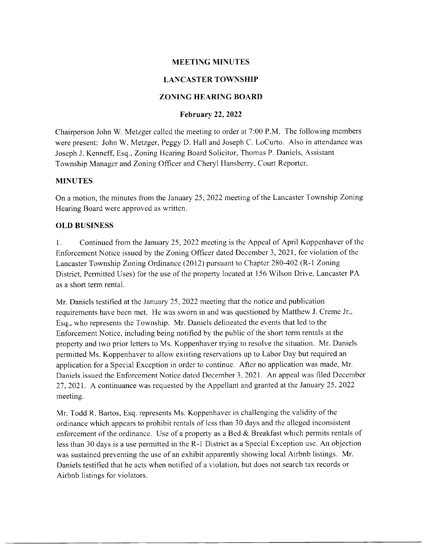# MEETING MINUTES

# LANCASTER TOWNSHIP

## ZONING HEARING BOARD

## February 22,2022

Chairperson John W. Metzger called the meeting to order at 7:00 P.M. The following members were present: John W. Metzger, Peggy D, Hall and Joseph C. LoCurto. Also in attendance was Joseph J. Kenneff, Esq., Zoning Hcaring Board Solicitor, Thomas P. Daniels, Assistant Township Manager and Zoning Officer and Cheryl Hansberry, Court Reporter.

### MINUTES

On a motion, the minutes from the January 25.2022 meeting of the Lancaster Township Zoning Hearing Board were approved as written.

### OLD BUSINESS

L Continued from the January 25, 2022 meeting is the Appeal of April Koppenhaver of thc Enforcement Notice issued by the Zoning Officer dated December 3, 2021, for violation of the Lancaster Township Zoning Ordinance (2012) pursuant to Chapter 280-402 (R-1 Zoning District, Permitted Uses) for the use of the property located at 156 Wilson Drive, Lancaster PA as a short term rental.

Mr. Daniels testified at the January 25,2022 meeting that the notice and publication requirements have been met. He was sworn in and was questioned by Matthew J. Cremc Jr., Esq., who represents the Township. Mr. Daniels delineated the eveuts that led to the Enforcement Notice, including being notified by the public of the short term rentals at the property and two prior letters to Ms. Koppenhaver trying to resolve the situation. Mr. Daniels permitted Ms. Koppenhaver to allow existing reservations up to Labor Day but required an application for a Special Exception in order to continue. After no application was made, Mr. Daniels issued the Enforcement Notice dated December 3.2021. An appeal was filed December <sup>27</sup>,2021. A continuance was requested by the Appellant and granted at the January 25,2022 meeting.

Mr. Todd R. Bartos, Esq. represents Ms. Koppenhaver in challenging the validity of the ordinance which appears to prohibit rentals of lcss than 30 days and the allcged inconsistent enforcement of the ordinance. Use of a property as a Bed & Breakfast which permits rentals of less than 30 days is a use permitted in the R-l District as a Special Exception use. An objection was sustained preventing the use of an exhibit apparently showing local Airbnb listings. Mr. Daniels testified that he acts when notified of a violation, but does not search tax records or Airbnb listings for violators.